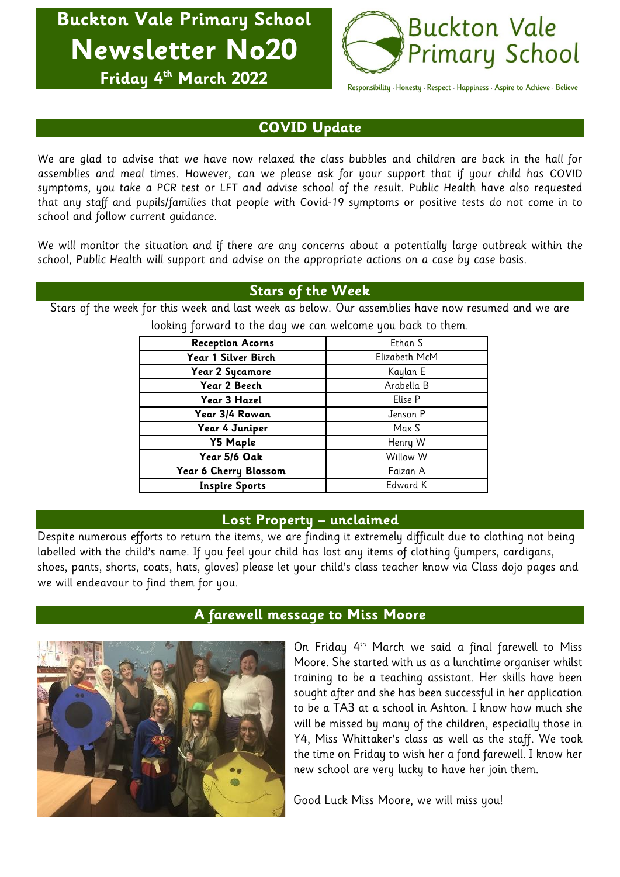**Buckton Vale Primary School Newsletter No20 Friday 4 th March 2022**



Responsibility · Honesty · Respect · Happiness · Aspire to Achieve · Believe

## **COVID Update**

We are glad to advise that we have now relaxed the class bubbles and children are back in the hall for assemblies and meal times. However, can we please ask for your support that if your child has COVID symptoms, you take a PCR test or LFT and advise school of the result. Public Health have also requested that any staff and pupils/families that people with Covid-19 symptoms or positive tests do not come in to school and follow current guidance.

We will monitor the situation and if there are any concerns about a potentially large outbreak within the school, Public Health will support and advise on the appropriate actions on a case by case basis.

### **Stars of the Week**

Stars of the week for this week and last week as below. Our assemblies have now resumed and we are

| <b>Reception Acorns</b> | Ethan S       |  |
|-------------------------|---------------|--|
| Year 1 Silver Birch     | Elizabeth McM |  |
| Year 2 Sycamore         | Kaylan E      |  |
| Year 2 Beech            | Arabella B    |  |
| Year 3 Hazel            | Elise P       |  |
| Year 3/4 Rowan          | Jenson P      |  |
| Year 4 Juniper          | Max S         |  |
| <b>Y5 Maple</b>         | Henry W       |  |
| Year 5/6 Oak            | Willow W      |  |
| Year 6 Cherry Blossom   | Faizan A      |  |
| <b>Inspire Sports</b>   | Edward K      |  |
|                         |               |  |

looking forward to the day we can welcome you back to them.

### **Lost Property – unclaimed**

Despite numerous efforts to return the items, we are finding it extremely difficult due to clothing not being labelled with the child's name. If you feel your child has lost any items of clothing (jumpers, cardigans, shoes, pants, shorts, coats, hats, gloves) please let your child's class teacher know via Class dojo pages and we will endeavour to find them for you.



# **A farewell message to Miss Moore**

On Friday 4th March we said a final farewell to Miss Moore. She started with us as a lunchtime organiser whilst training to be a teaching assistant. Her skills have been sought after and she has been successful in her application to be a TA3 at a school in Ashton. I know how much she will be missed by many of the children, especially those in Y4, Miss Whittaker's class as well as the staff. We took the time on Friday to wish her a fond farewell. I know her new school are very lucky to have her join them.

Good Luck Miss Moore, we will miss you!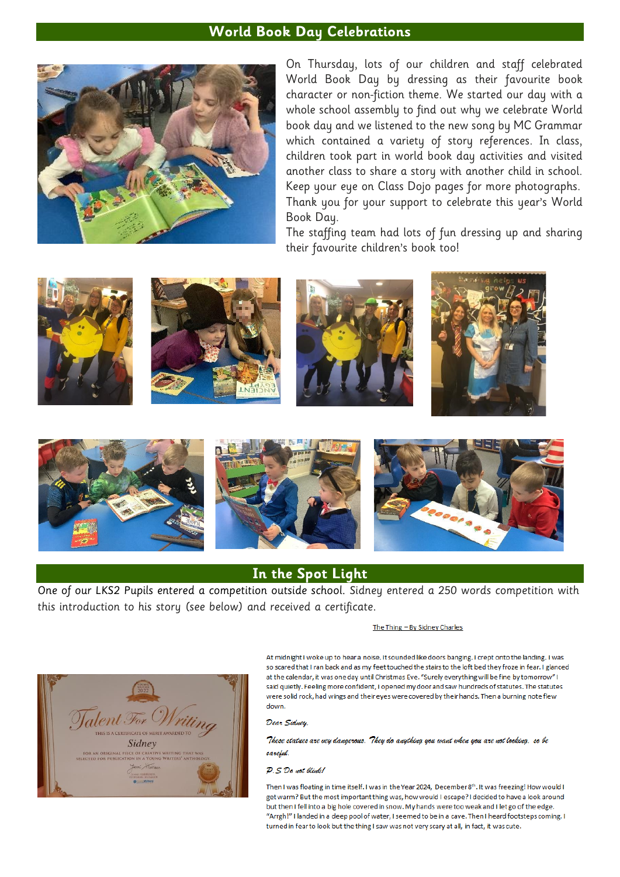#### **World Book Day Celebrations**



On Thursday, lots of our children and staff celebrated World Book Day by dressing as their favourite book character or non-fiction theme. We started our day with a whole school assembly to find out why we celebrate World book day and we listened to the new song by MC Grammar which contained a variety of story references. In class, children took part in world book day activities and visited another class to share a story with another child in school. Keep your eye on Class Dojo pages for more photographs. Thank you for your support to celebrate this year's World Book Day.

The staffing team had lots of fun dressing up and sharing their favourite children's book too!











## **In the Spot Light**

One of our LKS2 Pupils entered a competition outside school. Sidney entered a 250 words competition with this introduction to his story (see below) and received a certificate.

#### The Thing - By Sidney Charles



At midnight I woke up to hear a noise. It sounded like doors banging. I crept onto the landing. I was so scared that I ran back and as my feet touched the stairs to the loft bed they froze in fear. I glanced at the calendar, it was one day until Christmas Eve. "Surely everything will be fine by tomorrow" I said quietly. Feeling more confident, I opened my door and saw hundreds of statutes. The statutes were solid rock, had wings and their eyes were covered by their hands. Then a burning note flew down

Dear Sidney,

These statues are vey dangerous. They do anything you want when you are not looking, so be careful.

#### $D \leq D_0$  unt (diub)

Then I was floating in time itself. I was in the Year 2024. December 8th, It was freezing! How would I get warm? But the most important thing was, how would I escape? I decided to have a look around but then I fell into a big hole covered in snow. My hands were too weak and I let go of the edge. "Arrgh!" I landed in a deep pool of water, I seemed to be in a cave. Then I heard footsteps coming. I turned in fear to look but the thing I saw was not very scary at all, in fact, it was cute.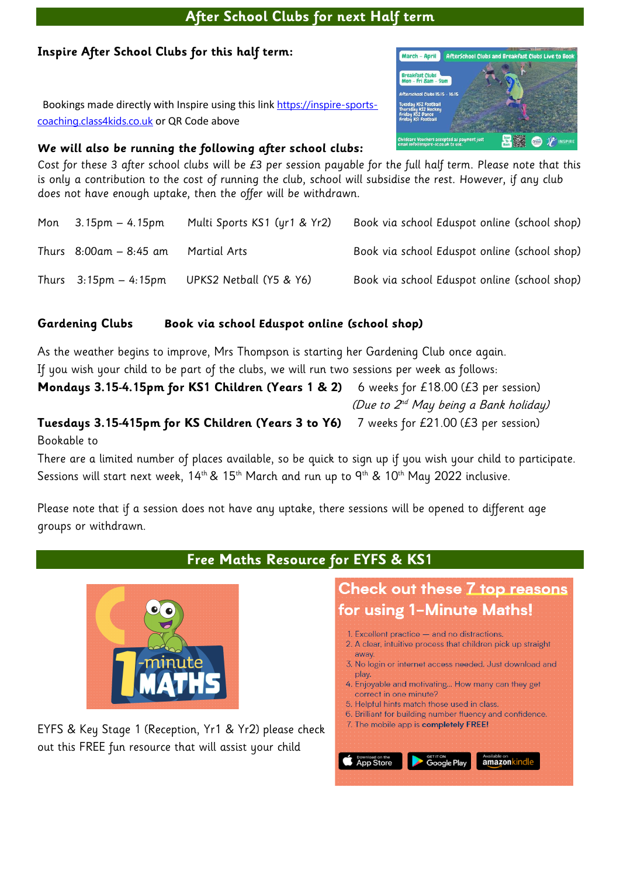# **After School Clubs for next Half term**

# **Inspire After School Clubs for this half term:**

 Bookings made directly with Inspire using this link [https://inspire-sports](https://inspire-sports-coaching.class4kids.co.uk/)[coaching.class4kids.co.uk](https://inspire-sports-coaching.class4kids.co.uk/) or QR Code above

# **We will also be running the following after school clubs:**

Cost for these 3 after school clubs will be £3 per session payable for the full half term. Please note that this is only a contribution to the cost of running the club, school will subsidise the rest. However, if any club does not have enough uptake, then the offer will be withdrawn.

| Mon $3.15 \text{pm} - 4.15 \text{pm}$   | Multi Sports KS1 (yr1 & Yr2) | Book via school Eduspot online (school shop) |
|-----------------------------------------|------------------------------|----------------------------------------------|
| Thurs $8:00$ am – $8:45$ am             | <b>Martial Arts</b>          | Book via school Eduspot online (school shop) |
| Thurs $3:15 \text{pm} - 4:15 \text{pm}$ | UPKS2 Netball (Y5 & Y6)      | Book via school Eduspot online (school shop) |

# **Gardening Clubs Book via school Eduspot online (school shop)**

As the weather begins to improve, Mrs Thompson is starting her Gardening Club once again. If you wish your child to be part of the clubs, we will run two sessions per week as follows: **Mondays 3.15-4.15pm for KS1 Children (Years 1 & 2)** 6 weeks for £18.00 (£3 per session) (Due to  $\mathcal{Z}^{ad}$  May being a Bank holiday)

## **Tuesdays 3.15-415pm for KS Children (Years 3 to Y6)** 7 weeks for £21.00 (£3 per session) Bookable to

There are a limited number of places available, so be quick to sign up if you wish your child to participate. Sessions will start next week,  $14<sup>th</sup>$ &  $15<sup>th</sup>$  March and run up to  $9<sup>th</sup>$  &  $10<sup>th</sup>$  May 2022 inclusive.

**Free Maths Resource for EYFS & KS1**

Please note that if a session does not have any uptake, there sessions will be opened to different age groups or withdrawn.



EYFS & Key Stage 1 (Reception, Yr1 & Yr2) please check out this FREE fun resource that will assist your child

# Check out these 7 top reasons for using 1-Minute Maths!

- 1. Excellent practice and no distractions.
- 2. A clear, intuitive process that children pick up straight away.
- 3. No login or internet access needed. Just download and play.
- 4. Enjoyable and motivating... How many can they get correct in one minute?
- 5. Helpful hints match those used in class.
- 6. Brilliant for building number fluency and confidence.
- 7. The mobile app is completely FREE!